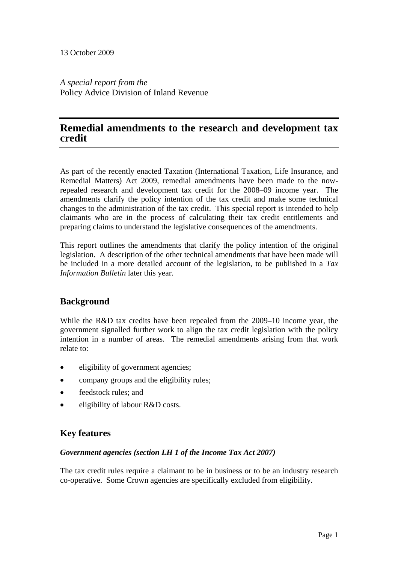*A special report from the*  Policy Advice Division of Inland Revenue

# **Remedial amendments to the research and development tax credit**

As part of the recently enacted Taxation (International Taxation, Life Insurance, and Remedial Matters) Act 2009, remedial amendments have been made to the nowrepealed research and development tax credit for the 2008–09 income year. The amendments clarify the policy intention of the tax credit and make some technical changes to the administration of the tax credit. This special report is intended to help claimants who are in the process of calculating their tax credit entitlements and preparing claims to understand the legislative consequences of the amendments.

This report outlines the amendments that clarify the policy intention of the original legislation. A description of the other technical amendments that have been made will be included in a more detailed account of the legislation, to be published in a *Tax Information Bulletin* later this year.

# **Background**

While the R&D tax credits have been repealed from the 2009–10 income year, the government signalled further work to align the tax credit legislation with the policy intention in a number of areas. The remedial amendments arising from that work relate to:

- eligibility of government agencies;
- company groups and the eligibility rules;
- feedstock rules; and
- eligibility of labour R&D costs.

# **Key features**

#### *Government agencies (section LH 1 of the Income Tax Act 2007)*

The tax credit rules require a claimant to be in business or to be an industry research co-operative. Some Crown agencies are specifically excluded from eligibility.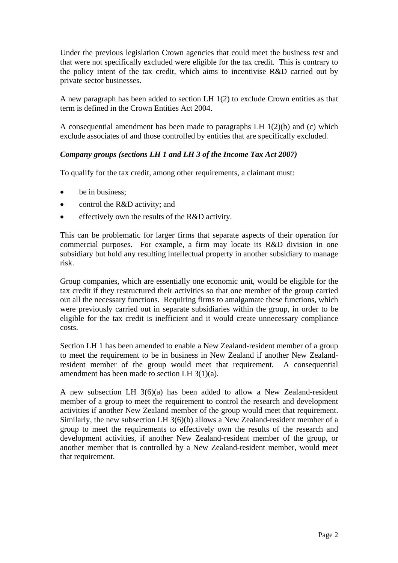Under the previous legislation Crown agencies that could meet the business test and that were not specifically excluded were eligible for the tax credit. This is contrary to the policy intent of the tax credit, which aims to incentivise R&D carried out by private sector businesses.

A new paragraph has been added to section LH 1(2) to exclude Crown entities as that term is defined in the Crown Entities Act 2004.

A consequential amendment has been made to paragraphs LH 1(2)(b) and (c) which exclude associates of and those controlled by entities that are specifically excluded.

### *Company groups (sections LH 1 and LH 3 of the Income Tax Act 2007)*

To qualify for the tax credit, among other requirements, a claimant must:

- be in business;
- control the R&D activity; and
- effectively own the results of the R&D activity.

This can be problematic for larger firms that separate aspects of their operation for commercial purposes. For example, a firm may locate its R&D division in one subsidiary but hold any resulting intellectual property in another subsidiary to manage risk.

Group companies, which are essentially one economic unit, would be eligible for the tax credit if they restructured their activities so that one member of the group carried out all the necessary functions. Requiring firms to amalgamate these functions, which were previously carried out in separate subsidiaries within the group, in order to be eligible for the tax credit is inefficient and it would create unnecessary compliance costs.

Section LH 1 has been amended to enable a New Zealand-resident member of a group to meet the requirement to be in business in New Zealand if another New Zealandresident member of the group would meet that requirement. A consequential amendment has been made to section LH 3(1)(a).

A new subsection LH 3(6)(a) has been added to allow a New Zealand-resident member of a group to meet the requirement to control the research and development activities if another New Zealand member of the group would meet that requirement. Similarly, the new subsection LH 3(6)(b) allows a New Zealand-resident member of a group to meet the requirements to effectively own the results of the research and development activities, if another New Zealand-resident member of the group, or another member that is controlled by a New Zealand-resident member, would meet that requirement.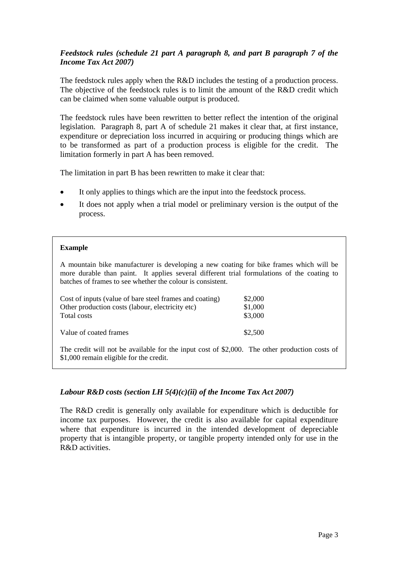## *Feedstock rules (schedule 21 part A paragraph 8, and part B paragraph 7 of the Income Tax Act 2007)*

The feedstock rules apply when the R&D includes the testing of a production process. The objective of the feedstock rules is to limit the amount of the R&D credit which can be claimed when some valuable output is produced.

The feedstock rules have been rewritten to better reflect the intention of the original legislation. Paragraph 8, part A of schedule 21 makes it clear that, at first instance, expenditure or depreciation loss incurred in acquiring or producing things which are to be transformed as part of a production process is eligible for the credit. The limitation formerly in part A has been removed.

The limitation in part B has been rewritten to make it clear that:

- It only applies to things which are the input into the feedstock process.
- It does not apply when a trial model or preliminary version is the output of the process.

#### **Example**

A mountain bike manufacturer is developing a new coating for bike frames which will be more durable than paint. It applies several different trial formulations of the coating to batches of frames to see whether the colour is consistent.

| Cost of inputs (value of bare steel frames and coating) | \$2,000 |
|---------------------------------------------------------|---------|
| Other production costs (labour, electricity etc)        | \$1,000 |
| Total costs                                             | \$3,000 |
| Value of coated frames                                  | \$2,500 |

The credit will not be available for the input cost of \$2,000. The other production costs of \$1,000 remain eligible for the credit.

## *Labour R&D costs (section LH 5(4)(c)(ii) of the Income Tax Act 2007)*

The R&D credit is generally only available for expenditure which is deductible for income tax purposes. However, the credit is also available for capital expenditure where that expenditure is incurred in the intended development of depreciable property that is intangible property, or tangible property intended only for use in the R&D activities.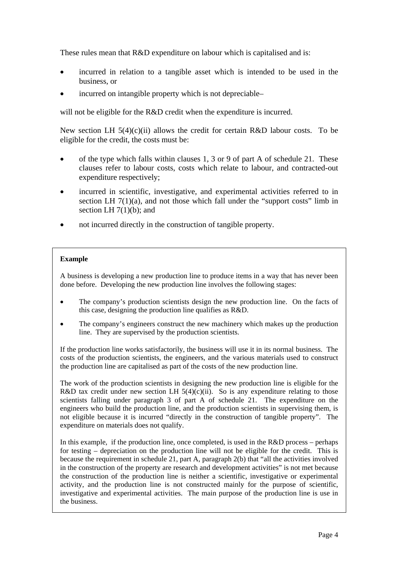These rules mean that R&D expenditure on labour which is capitalised and is:

- incurred in relation to a tangible asset which is intended to be used in the business, or
- incurred on intangible property which is not depreciable–

will not be eligible for the R&D credit when the expenditure is incurred.

New section LH  $5(4)(c)(ii)$  allows the credit for certain R&D labour costs. To be eligible for the credit, the costs must be:

- of the type which falls within clauses 1, 3 or 9 of part A of schedule 21. These clauses refer to labour costs, costs which relate to labour, and contracted-out expenditure respectively;
- incurred in scientific, investigative, and experimental activities referred to in section LH  $7(1)(a)$ , and not those which fall under the "support costs" limb in section LH  $7(1)(b)$ ; and
- not incurred directly in the construction of tangible property.

#### **Example**

A business is developing a new production line to produce items in a way that has never been done before. Developing the new production line involves the following stages:

- The company's production scientists design the new production line. On the facts of this case, designing the production line qualifies as R&D.
- The company's engineers construct the new machinery which makes up the production line. They are supervised by the production scientists.

If the production line works satisfactorily, the business will use it in its normal business. The costs of the production scientists, the engineers, and the various materials used to construct the production line are capitalised as part of the costs of the new production line.

The work of the production scientists in designing the new production line is eligible for the R&D tax credit under new section LH  $5(4)(c)(ii)$ . So is any expenditure relating to those scientists falling under paragraph 3 of part A of schedule 21. The expenditure on the engineers who build the production line, and the production scientists in supervising them, is not eligible because it is incurred "directly in the construction of tangible property". The expenditure on materials does not qualify.

In this example, if the production line, once completed, is used in the  $R&D$  process – perhaps for testing – depreciation on the production line will not be eligible for the credit. This is because the requirement in schedule 21, part A, paragraph 2(b) that "all the activities involved in the construction of the property are research and development activities" is not met because the construction of the production line is neither a scientific, investigative or experimental activity, and the production line is not constructed mainly for the purpose of scientific, investigative and experimental activities. The main purpose of the production line is use in the business.